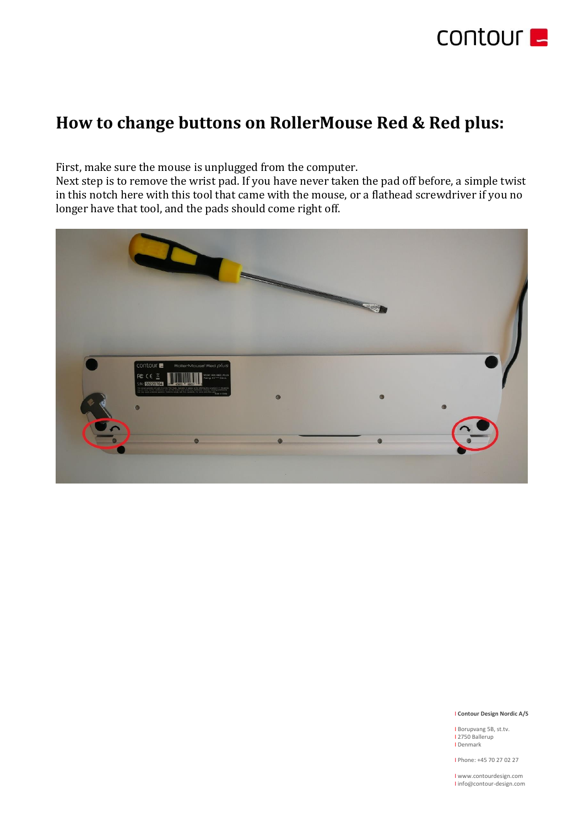

# **How to change buttons on RollerMouse Red & Red plus:**

First, make sure the mouse is unplugged from the computer.

Next step is to remove the wrist pad. If you have never taken the pad off before, a simple twist in this notch here with this tool that came with the mouse, or a flathead screwdriver if you no longer have that tool, and the pads should come right off.



### I **Contour Design Nordic A/S**

I Borupvang 5B, st.tv. I 2750 Ballerup I Denmark

I Phone: +45 70 27 02 27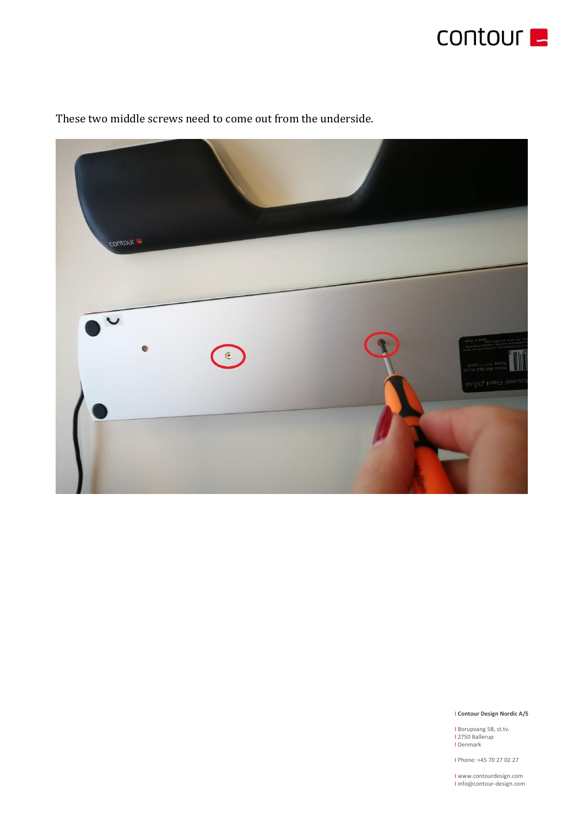



These two middle screws need to come out from the underside.

# I **Contour Design Nordic A/S**

I Borupvang 5B, st.tv.<br>I 2750 Ballerup I Denmark

I Phone: +45 70 27 02 27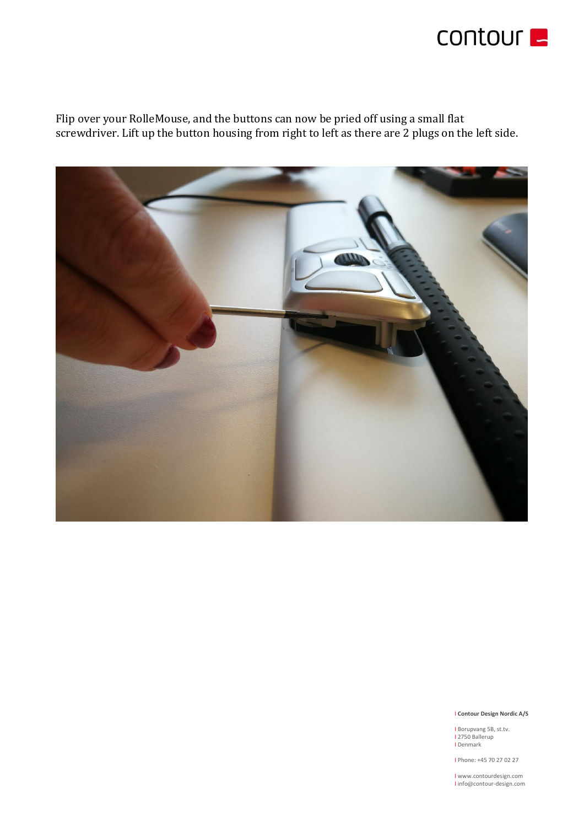

Flip over your RolleMouse, and the buttons can now be pried off using a small flat screwdriver. Lift up the button housing from right to left as there are 2 plugs on the left side.



### I **Contour Design Nordic A/S**

I Borupvang 5B, st.tv.<br>I 2750 Ballerup I Denmark

I Phone: +45 70 27 02 27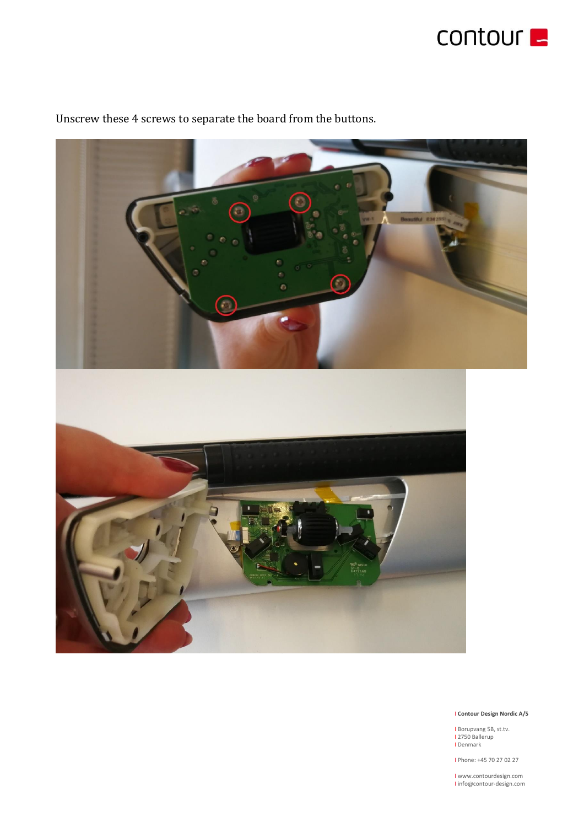



Unscrew these 4 screws to separate the board from the buttons.

# I **Contour Design Nordic A/S**

I Borupvang 5B, st.tv. I 2750 Ballerup I Denmark

I Phone: +45 70 27 02 27